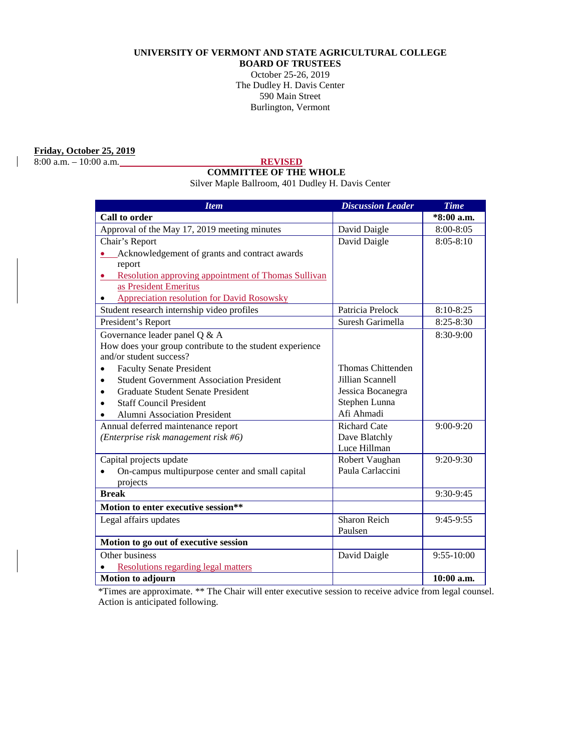## **UNIVERSITY OF VERMONT AND STATE AGRICULTURAL COLLEGE**

**BOARD OF TRUSTEES** October 25-26, 2019 The Dudley H. Davis Center 590 Main Street

Burlington, Vermont

## **Friday, October 25, 2019**

8:00 a.m. – 10:00 a.m. **REVISED**

# **COMMITTEE OF THE WHOLE**

Silver Maple Ballroom, 401 Dudley H. Davis Center

| <b>Item</b>                                                | <b>Discussion Leader</b> | <b>Time</b>   |
|------------------------------------------------------------|--------------------------|---------------|
| Call to order                                              |                          | *8:00 a.m.    |
| Approval of the May 17, 2019 meeting minutes               | David Daigle             | 8:00-8:05     |
| Chair's Report                                             | David Daigle             | $8:05 - 8:10$ |
| Acknowledgement of grants and contract awards              |                          |               |
| report                                                     |                          |               |
| <b>Resolution approving appointment of Thomas Sullivan</b> |                          |               |
| as President Emeritus                                      |                          |               |
| <b>Appreciation resolution for David Rosowsky</b>          |                          |               |
| Student research internship video profiles                 | Patricia Prelock         | 8:10-8:25     |
| President's Report                                         | Suresh Garimella         | $8:25 - 8:30$ |
| Governance leader panel Q & A                              |                          | 8:30-9:00     |
| How does your group contribute to the student experience   |                          |               |
| and/or student success?                                    |                          |               |
| <b>Faculty Senate President</b>                            | Thomas Chittenden        |               |
| <b>Student Government Association President</b>            | Jillian Scannell         |               |
| <b>Graduate Student Senate President</b>                   | Jessica Bocanegra        |               |
| <b>Staff Council President</b>                             | Stephen Lunna            |               |
| <b>Alumni Association President</b>                        | Afi Ahmadi               |               |
| Annual deferred maintenance report                         | <b>Richard Cate</b>      | $9:00-9:20$   |
| (Enterprise risk management risk #6)                       | Dave Blatchly            |               |
|                                                            | Luce Hillman             |               |
| Capital projects update                                    | Robert Vaughan           | 9:20-9:30     |
| On-campus multipurpose center and small capital            | Paula Carlaccini         |               |
| projects                                                   |                          |               |
| <b>Break</b>                                               |                          | 9:30-9:45     |
| Motion to enter executive session**                        |                          |               |
| Legal affairs updates                                      | Sharon Reich             | 9:45-9:55     |
|                                                            | Paulsen                  |               |
| Motion to go out of executive session                      |                          |               |
| Other business                                             | David Daigle             | 9:55-10:00    |
| <b>Resolutions regarding legal matters</b>                 |                          |               |
| <b>Motion to adjourn</b>                                   |                          | 10:00 a.m.    |

\*Times are approximate. \*\* The Chair will enter executive session to receive advice from legal counsel. Action is anticipated following.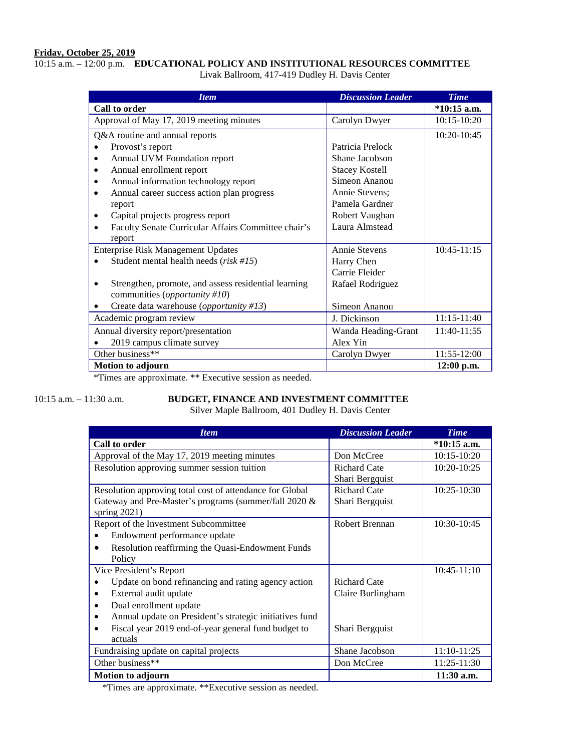## **Friday, October 25, 2019**

## 10:15 a.m. – 12:00 p.m. **EDUCATIONAL POLICY AND INSTITUTIONAL RESOURCES COMMITTEE**

Livak Ballroom, 417-419 Dudley H. Davis Center

| <b>Item</b>                                                                           | <b>Discussion Leader</b> | <b>Time</b>   |
|---------------------------------------------------------------------------------------|--------------------------|---------------|
| Call to order                                                                         |                          | $*10:15$ a.m. |
| Approval of May 17, 2019 meeting minutes                                              | Carolyn Dwyer            | 10:15-10:20   |
| Q&A routine and annual reports                                                        |                          | 10:20-10:45   |
| Provost's report                                                                      | Patricia Prelock         |               |
| Annual UVM Foundation report<br>٠                                                     | Shane Jacobson           |               |
| Annual enrollment report<br>$\bullet$                                                 | <b>Stacey Kostell</b>    |               |
| Annual information technology report<br>$\bullet$                                     | Simeon Ananou            |               |
| Annual career success action plan progress<br>$\bullet$                               | Annie Stevens;           |               |
| report                                                                                | Pamela Gardner           |               |
| Capital projects progress report<br>$\bullet$                                         | Robert Vaughan           |               |
| Faculty Senate Curricular Affairs Committee chair's<br>$\bullet$                      | Laura Almstead           |               |
| report                                                                                |                          |               |
| <b>Enterprise Risk Management Updates</b>                                             | Annie Stevens            | $10:45-11:15$ |
| Student mental health needs $(risk #15)$                                              | Harry Chen               |               |
|                                                                                       | Carrie Fleider           |               |
| Strengthen, promote, and assess residential learning<br>communities (opportunity #10) | Rafael Rodriguez         |               |
| Create data warehouse (opportunity #13)                                               | Simeon Ananou            |               |
| Academic program review                                                               | J. Dickinson             | 11:15-11:40   |
| Annual diversity report/presentation                                                  | Wanda Heading-Grant      | 11:40-11:55   |
| 2019 campus climate survey                                                            | Alex Yin                 |               |
| Other business**                                                                      | Carolyn Dwyer            | 11:55-12:00   |
| <b>Motion to adjourn</b>                                                              |                          | $12:00$ p.m.  |

\*Times are approximate. \*\* Executive session as needed.

## 10:15 a.m. – 11:30 a.m. **BUDGET, FINANCE AND INVESTMENT COMMITTEE**

Silver Maple Ballroom, 401 Dudley H. Davis Center

| <b>Item</b>                                                  | <b>Discussion Leader</b> | <b>Time</b>     |
|--------------------------------------------------------------|--------------------------|-----------------|
| Call to order                                                |                          | $*10:15$ a.m.   |
| Approval of the May 17, 2019 meeting minutes                 | Don McCree               | $10:15-10:20$   |
| Resolution approving summer session tuition                  | <b>Richard Cate</b>      | 10:20-10:25     |
|                                                              | Shari Bergquist          |                 |
| Resolution approving total cost of attendance for Global     | <b>Richard Cate</b>      | $10:25 - 10:30$ |
| Gateway and Pre-Master's programs (summer/fall 2020 &        | Shari Bergquist          |                 |
| spring $2021$ )                                              |                          |                 |
| Report of the Investment Subcommittee                        | Robert Brennan           | 10:30-10:45     |
| Endowment performance update                                 |                          |                 |
| Resolution reaffirming the Quasi-Endowment Funds             |                          |                 |
| Policy                                                       |                          |                 |
| Vice President's Report                                      |                          | $10:45-11:10$   |
| Update on bond refinancing and rating agency action          | <b>Richard Cate</b>      |                 |
| External audit update<br>$\bullet$                           | Claire Burlingham        |                 |
| Dual enrollment update<br>$\bullet$                          |                          |                 |
| Annual update on President's strategic initiatives fund<br>٠ |                          |                 |
| Fiscal year 2019 end-of-year general fund budget to          | Shari Bergquist          |                 |
| actuals                                                      |                          |                 |
| Fundraising update on capital projects                       | Shane Jacobson           | 11:10-11:25     |
| Other business**                                             | Don McCree               | 11:25-11:30     |
| <b>Motion to adjourn</b>                                     |                          | $11:30$ a.m.    |

\*Times are approximate. \*\*Executive session as needed.